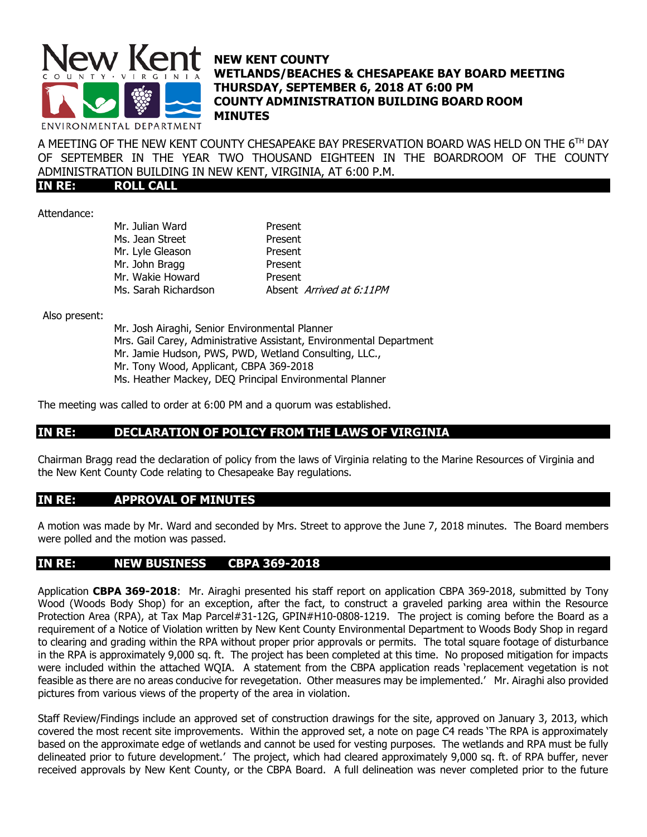

## **NEW KENT COUNTY WETLANDS/BEACHES & CHESAPEAKE BAY BOARD MEETING THURSDAY, SEPTEMBER 6, 2018 AT 6:00 PM COUNTY ADMINISTRATION BUILDING BOARD ROOM MINUTES**

A MEETING OF THE NEW KENT COUNTY CHESAPEAKE BAY PRESERVATION BOARD WAS HELD ON THE 6 TH DAY OF SEPTEMBER IN THE YEAR TWO THOUSAND EIGHTEEN IN THE BOARDROOM OF THE COUNTY ADMINISTRATION BUILDING IN NEW KENT, VIRGINIA, AT 6:00 P.M.

**IN RE: ROLL CALL**

Attendance:

Mr. Julian Ward **Present** Ms. Jean Street Present Mr. Lyle Gleason Present Mr. John Bragg Present Mr. Wakie Howard Present Ms. Sarah Richardson Absent Arrived at 6:11PM

Also present:

Mr. Josh Airaghi, Senior Environmental Planner Mrs. Gail Carey, Administrative Assistant, Environmental Department Mr. Jamie Hudson, PWS, PWD, Wetland Consulting, LLC., Mr. Tony Wood, Applicant, CBPA 369-2018 Ms. Heather Mackey, DEQ Principal Environmental Planner

The meeting was called to order at 6:00 PM and a quorum was established.

## **IN RE: DECLARATION OF POLICY FROM THE LAWS OF VIRGINIA**

Chairman Bragg read the declaration of policy from the laws of Virginia relating to the Marine Resources of Virginia and the New Kent County Code relating to Chesapeake Bay regulations.

## **IN RE: APPROVAL OF MINUTES**

A motion was made by Mr. Ward and seconded by Mrs. Street to approve the June 7, 2018 minutes. The Board members were polled and the motion was passed.

#### **IN RE: NEW BUSINESS CBPA 369-2018**

Application **CBPA 369-2018**: Mr. Airaghi presented his staff report on application CBPA 369-2018, submitted by Tony Wood (Woods Body Shop) for an exception, after the fact, to construct a graveled parking area within the Resource Protection Area (RPA), at Tax Map Parcel#31-12G, GPIN#H10-0808-1219. The project is coming before the Board as a requirement of a Notice of Violation written by New Kent County Environmental Department to Woods Body Shop in regard to clearing and grading within the RPA without proper prior approvals or permits. The total square footage of disturbance in the RPA is approximately 9,000 sq. ft. The project has been completed at this time. No proposed mitigation for impacts were included within the attached WQIA. A statement from the CBPA application reads 'replacement vegetation is not feasible as there are no areas conducive for revegetation. Other measures may be implemented.' Mr. Airaghi also provided pictures from various views of the property of the area in violation.

Staff Review/Findings include an approved set of construction drawings for the site, approved on January 3, 2013, which covered the most recent site improvements. Within the approved set, a note on page C4 reads 'The RPA is approximately based on the approximate edge of wetlands and cannot be used for vesting purposes. The wetlands and RPA must be fully delineated prior to future development.' The project, which had cleared approximately 9,000 sq. ft. of RPA buffer, never received approvals by New Kent County, or the CBPA Board. A full delineation was never completed prior to the future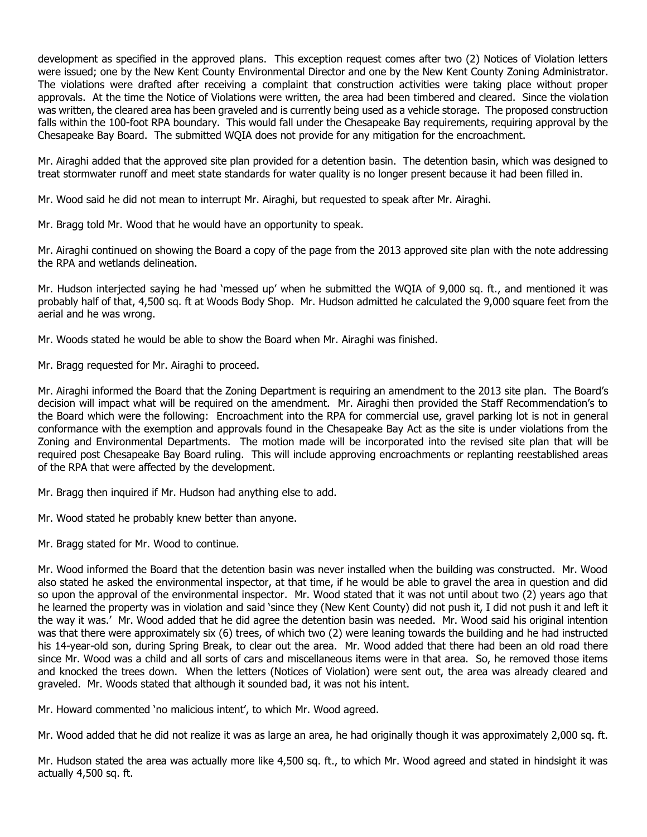development as specified in the approved plans. This exception request comes after two (2) Notices of Violation letters were issued; one by the New Kent County Environmental Director and one by the New Kent County Zoning Administrator. The violations were drafted after receiving a complaint that construction activities were taking place without proper approvals. At the time the Notice of Violations were written, the area had been timbered and cleared. Since the violation was written, the cleared area has been graveled and is currently being used as a vehicle storage. The proposed construction falls within the 100-foot RPA boundary. This would fall under the Chesapeake Bay requirements, requiring approval by the Chesapeake Bay Board. The submitted WQIA does not provide for any mitigation for the encroachment.

Mr. Airaghi added that the approved site plan provided for a detention basin. The detention basin, which was designed to treat stormwater runoff and meet state standards for water quality is no longer present because it had been filled in.

Mr. Wood said he did not mean to interrupt Mr. Airaghi, but requested to speak after Mr. Airaghi.

Mr. Bragg told Mr. Wood that he would have an opportunity to speak.

Mr. Airaghi continued on showing the Board a copy of the page from the 2013 approved site plan with the note addressing the RPA and wetlands delineation.

Mr. Hudson interjected saying he had 'messed up' when he submitted the WQIA of 9,000 sq. ft., and mentioned it was probably half of that, 4,500 sq. ft at Woods Body Shop. Mr. Hudson admitted he calculated the 9,000 square feet from the aerial and he was wrong.

Mr. Woods stated he would be able to show the Board when Mr. Airaghi was finished.

Mr. Bragg requested for Mr. Airaghi to proceed.

Mr. Airaghi informed the Board that the Zoning Department is requiring an amendment to the 2013 site plan. The Board's decision will impact what will be required on the amendment. Mr. Airaghi then provided the Staff Recommendation's to the Board which were the following: Encroachment into the RPA for commercial use, gravel parking lot is not in general conformance with the exemption and approvals found in the Chesapeake Bay Act as the site is under violations from the Zoning and Environmental Departments. The motion made will be incorporated into the revised site plan that will be required post Chesapeake Bay Board ruling. This will include approving encroachments or replanting reestablished areas of the RPA that were affected by the development.

Mr. Bragg then inquired if Mr. Hudson had anything else to add.

Mr. Wood stated he probably knew better than anyone.

Mr. Bragg stated for Mr. Wood to continue.

Mr. Wood informed the Board that the detention basin was never installed when the building was constructed. Mr. Wood also stated he asked the environmental inspector, at that time, if he would be able to gravel the area in question and did so upon the approval of the environmental inspector. Mr. Wood stated that it was not until about two (2) years ago that he learned the property was in violation and said 'since they (New Kent County) did not push it, I did not push it and left it the way it was.' Mr. Wood added that he did agree the detention basin was needed. Mr. Wood said his original intention was that there were approximately six (6) trees, of which two (2) were leaning towards the building and he had instructed his 14-year-old son, during Spring Break, to clear out the area. Mr. Wood added that there had been an old road there since Mr. Wood was a child and all sorts of cars and miscellaneous items were in that area. So, he removed those items and knocked the trees down. When the letters (Notices of Violation) were sent out, the area was already cleared and graveled. Mr. Woods stated that although it sounded bad, it was not his intent.

Mr. Howard commented 'no malicious intent', to which Mr. Wood agreed.

Mr. Wood added that he did not realize it was as large an area, he had originally though it was approximately 2,000 sq. ft.

Mr. Hudson stated the area was actually more like 4,500 sq. ft., to which Mr. Wood agreed and stated in hindsight it was actually 4,500 sq. ft.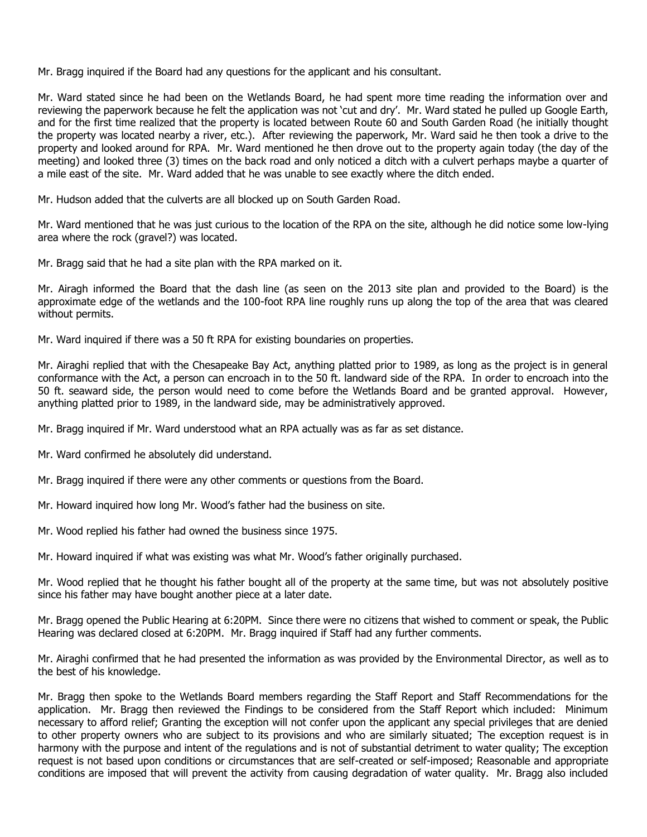Mr. Bragg inquired if the Board had any questions for the applicant and his consultant.

Mr. Ward stated since he had been on the Wetlands Board, he had spent more time reading the information over and reviewing the paperwork because he felt the application was not 'cut and dry'. Mr. Ward stated he pulled up Google Earth, and for the first time realized that the property is located between Route 60 and South Garden Road (he initially thought the property was located nearby a river, etc.). After reviewing the paperwork, Mr. Ward said he then took a drive to the property and looked around for RPA. Mr. Ward mentioned he then drove out to the property again today (the day of the meeting) and looked three (3) times on the back road and only noticed a ditch with a culvert perhaps maybe a quarter of a mile east of the site. Mr. Ward added that he was unable to see exactly where the ditch ended.

Mr. Hudson added that the culverts are all blocked up on South Garden Road.

Mr. Ward mentioned that he was just curious to the location of the RPA on the site, although he did notice some low-lying area where the rock (gravel?) was located.

Mr. Bragg said that he had a site plan with the RPA marked on it.

Mr. Airagh informed the Board that the dash line (as seen on the 2013 site plan and provided to the Board) is the approximate edge of the wetlands and the 100-foot RPA line roughly runs up along the top of the area that was cleared without permits.

Mr. Ward inquired if there was a 50 ft RPA for existing boundaries on properties.

Mr. Airaghi replied that with the Chesapeake Bay Act, anything platted prior to 1989, as long as the project is in general conformance with the Act, a person can encroach in to the 50 ft. landward side of the RPA. In order to encroach into the 50 ft. seaward side, the person would need to come before the Wetlands Board and be granted approval. However, anything platted prior to 1989, in the landward side, may be administratively approved.

Mr. Bragg inquired if Mr. Ward understood what an RPA actually was as far as set distance.

- Mr. Ward confirmed he absolutely did understand.
- Mr. Bragg inquired if there were any other comments or questions from the Board.
- Mr. Howard inquired how long Mr. Wood's father had the business on site.
- Mr. Wood replied his father had owned the business since 1975.
- Mr. Howard inquired if what was existing was what Mr. Wood's father originally purchased.

Mr. Wood replied that he thought his father bought all of the property at the same time, but was not absolutely positive since his father may have bought another piece at a later date.

Mr. Bragg opened the Public Hearing at 6:20PM. Since there were no citizens that wished to comment or speak, the Public Hearing was declared closed at 6:20PM. Mr. Bragg inquired if Staff had any further comments.

Mr. Airaghi confirmed that he had presented the information as was provided by the Environmental Director, as well as to the best of his knowledge.

Mr. Bragg then spoke to the Wetlands Board members regarding the Staff Report and Staff Recommendations for the application. Mr. Bragg then reviewed the Findings to be considered from the Staff Report which included: Minimum necessary to afford relief; Granting the exception will not confer upon the applicant any special privileges that are denied to other property owners who are subject to its provisions and who are similarly situated; The exception request is in harmony with the purpose and intent of the regulations and is not of substantial detriment to water quality; The exception request is not based upon conditions or circumstances that are self-created or self-imposed; Reasonable and appropriate conditions are imposed that will prevent the activity from causing degradation of water quality. Mr. Bragg also included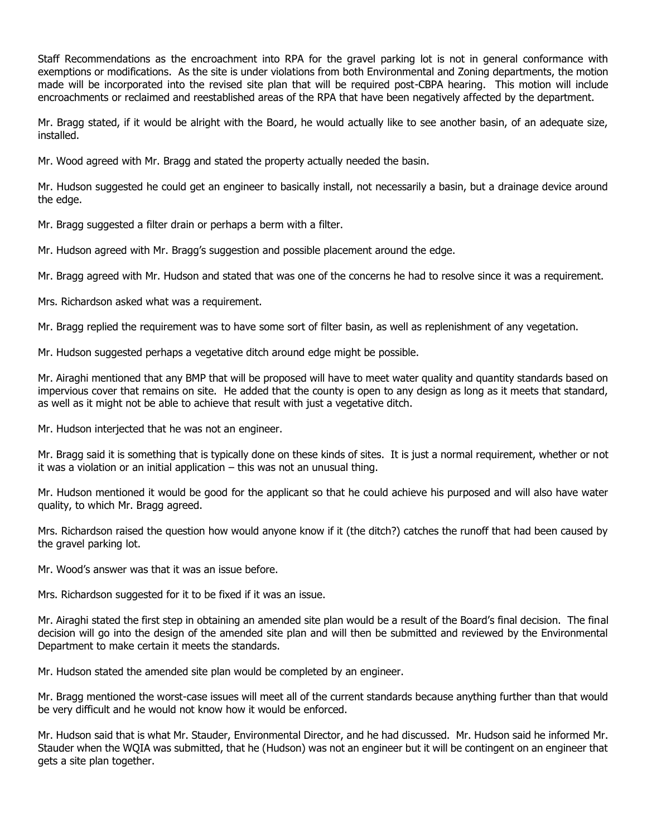Staff Recommendations as the encroachment into RPA for the gravel parking lot is not in general conformance with exemptions or modifications. As the site is under violations from both Environmental and Zoning departments, the motion made will be incorporated into the revised site plan that will be required post-CBPA hearing. This motion will include encroachments or reclaimed and reestablished areas of the RPA that have been negatively affected by the department.

Mr. Bragg stated, if it would be alright with the Board, he would actually like to see another basin, of an adequate size, installed.

Mr. Wood agreed with Mr. Bragg and stated the property actually needed the basin.

Mr. Hudson suggested he could get an engineer to basically install, not necessarily a basin, but a drainage device around the edge.

Mr. Bragg suggested a filter drain or perhaps a berm with a filter.

Mr. Hudson agreed with Mr. Bragg's suggestion and possible placement around the edge.

Mr. Bragg agreed with Mr. Hudson and stated that was one of the concerns he had to resolve since it was a requirement.

Mrs. Richardson asked what was a requirement.

Mr. Bragg replied the requirement was to have some sort of filter basin, as well as replenishment of any vegetation.

Mr. Hudson suggested perhaps a vegetative ditch around edge might be possible.

Mr. Airaghi mentioned that any BMP that will be proposed will have to meet water quality and quantity standards based on impervious cover that remains on site. He added that the county is open to any design as long as it meets that standard, as well as it might not be able to achieve that result with just a vegetative ditch.

Mr. Hudson interjected that he was not an engineer.

Mr. Bragg said it is something that is typically done on these kinds of sites. It is just a normal requirement, whether or not it was a violation or an initial application – this was not an unusual thing.

Mr. Hudson mentioned it would be good for the applicant so that he could achieve his purposed and will also have water quality, to which Mr. Bragg agreed.

Mrs. Richardson raised the question how would anyone know if it (the ditch?) catches the runoff that had been caused by the gravel parking lot.

Mr. Wood's answer was that it was an issue before.

Mrs. Richardson suggested for it to be fixed if it was an issue.

Mr. Airaghi stated the first step in obtaining an amended site plan would be a result of the Board's final decision. The final decision will go into the design of the amended site plan and will then be submitted and reviewed by the Environmental Department to make certain it meets the standards.

Mr. Hudson stated the amended site plan would be completed by an engineer.

Mr. Bragg mentioned the worst-case issues will meet all of the current standards because anything further than that would be very difficult and he would not know how it would be enforced.

Mr. Hudson said that is what Mr. Stauder, Environmental Director, and he had discussed. Mr. Hudson said he informed Mr. Stauder when the WQIA was submitted, that he (Hudson) was not an engineer but it will be contingent on an engineer that gets a site plan together.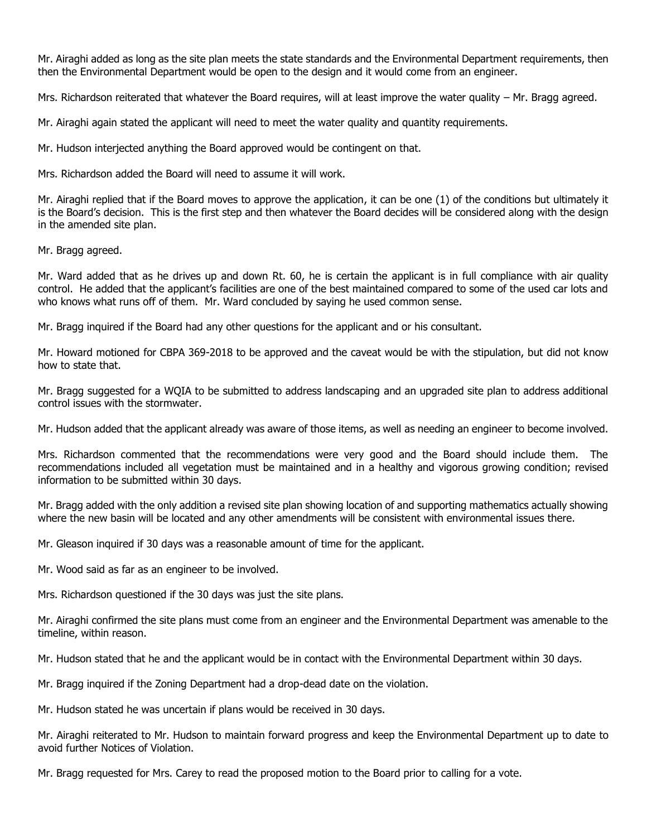Mr. Airaghi added as long as the site plan meets the state standards and the Environmental Department requirements, then then the Environmental Department would be open to the design and it would come from an engineer.

Mrs. Richardson reiterated that whatever the Board requires, will at least improve the water quality – Mr. Bragg agreed.

Mr. Airaghi again stated the applicant will need to meet the water quality and quantity requirements.

Mr. Hudson interjected anything the Board approved would be contingent on that.

Mrs. Richardson added the Board will need to assume it will work.

Mr. Airaghi replied that if the Board moves to approve the application, it can be one (1) of the conditions but ultimately it is the Board's decision. This is the first step and then whatever the Board decides will be considered along with the design in the amended site plan.

Mr. Bragg agreed.

Mr. Ward added that as he drives up and down Rt. 60, he is certain the applicant is in full compliance with air quality control. He added that the applicant's facilities are one of the best maintained compared to some of the used car lots and who knows what runs off of them. Mr. Ward concluded by saying he used common sense.

Mr. Bragg inquired if the Board had any other questions for the applicant and or his consultant.

Mr. Howard motioned for CBPA 369-2018 to be approved and the caveat would be with the stipulation, but did not know how to state that.

Mr. Bragg suggested for a WQIA to be submitted to address landscaping and an upgraded site plan to address additional control issues with the stormwater.

Mr. Hudson added that the applicant already was aware of those items, as well as needing an engineer to become involved.

Mrs. Richardson commented that the recommendations were very good and the Board should include them. The recommendations included all vegetation must be maintained and in a healthy and vigorous growing condition; revised information to be submitted within 30 days.

Mr. Bragg added with the only addition a revised site plan showing location of and supporting mathematics actually showing where the new basin will be located and any other amendments will be consistent with environmental issues there.

Mr. Gleason inquired if 30 days was a reasonable amount of time for the applicant.

Mr. Wood said as far as an engineer to be involved.

Mrs. Richardson questioned if the 30 days was just the site plans.

Mr. Airaghi confirmed the site plans must come from an engineer and the Environmental Department was amenable to the timeline, within reason.

Mr. Hudson stated that he and the applicant would be in contact with the Environmental Department within 30 days.

Mr. Bragg inquired if the Zoning Department had a drop-dead date on the violation.

Mr. Hudson stated he was uncertain if plans would be received in 30 days.

Mr. Airaghi reiterated to Mr. Hudson to maintain forward progress and keep the Environmental Department up to date to avoid further Notices of Violation.

Mr. Bragg requested for Mrs. Carey to read the proposed motion to the Board prior to calling for a vote.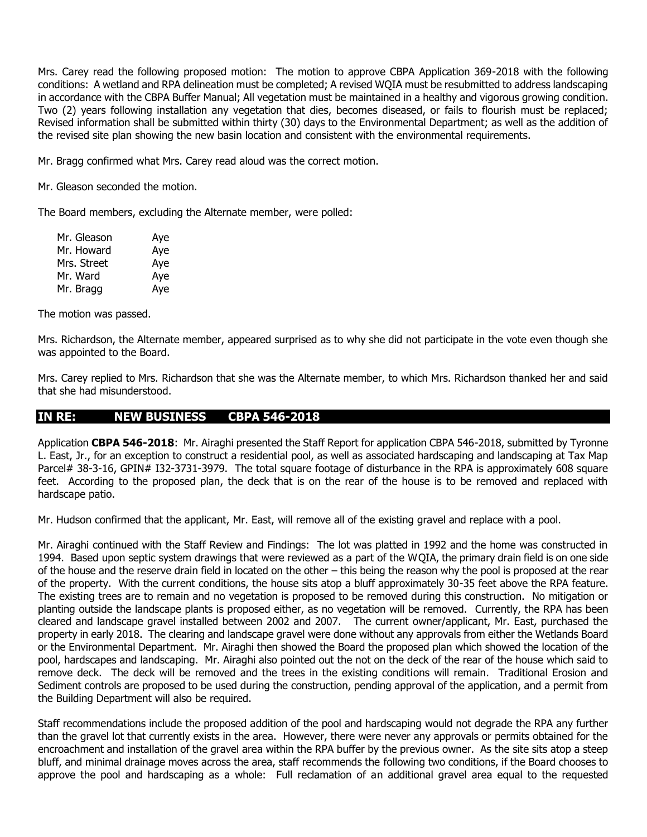Mrs. Carey read the following proposed motion: The motion to approve CBPA Application 369-2018 with the following conditions: A wetland and RPA delineation must be completed; A revised WQIA must be resubmitted to address landscaping in accordance with the CBPA Buffer Manual; All vegetation must be maintained in a healthy and vigorous growing condition. Two (2) years following installation any vegetation that dies, becomes diseased, or fails to flourish must be replaced; Revised information shall be submitted within thirty (30) days to the Environmental Department; as well as the addition of the revised site plan showing the new basin location and consistent with the environmental requirements.

Mr. Bragg confirmed what Mrs. Carey read aloud was the correct motion.

Mr. Gleason seconded the motion.

The Board members, excluding the Alternate member, were polled:

| Mr. Gleason | Aye |
|-------------|-----|
| Mr. Howard  | Aye |
| Mrs. Street | Aye |
| Mr. Ward    | Aye |
| Mr. Bragg   | Aye |

The motion was passed.

Mrs. Richardson, the Alternate member, appeared surprised as to why she did not participate in the vote even though she was appointed to the Board.

Mrs. Carey replied to Mrs. Richardson that she was the Alternate member, to which Mrs. Richardson thanked her and said that she had misunderstood.

### **IN RE: NEW BUSINESS CBPA 546-2018**

Application **CBPA 546-2018**: Mr. Airaghi presented the Staff Report for application CBPA 546-2018, submitted by Tyronne L. East, Jr., for an exception to construct a residential pool, as well as associated hardscaping and landscaping at Tax Map Parcel# 38-3-16, GPIN# I32-3731-3979. The total square footage of disturbance in the RPA is approximately 608 square feet. According to the proposed plan, the deck that is on the rear of the house is to be removed and replaced with hardscape patio.

Mr. Hudson confirmed that the applicant, Mr. East, will remove all of the existing gravel and replace with a pool.

Mr. Airaghi continued with the Staff Review and Findings: The lot was platted in 1992 and the home was constructed in 1994. Based upon septic system drawings that were reviewed as a part of the WQIA, the primary drain field is on one side of the house and the reserve drain field in located on the other – this being the reason why the pool is proposed at the rear of the property. With the current conditions, the house sits atop a bluff approximately 30-35 feet above the RPA feature. The existing trees are to remain and no vegetation is proposed to be removed during this construction. No mitigation or planting outside the landscape plants is proposed either, as no vegetation will be removed. Currently, the RPA has been cleared and landscape gravel installed between 2002 and 2007. The current owner/applicant, Mr. East, purchased the property in early 2018. The clearing and landscape gravel were done without any approvals from either the Wetlands Board or the Environmental Department. Mr. Airaghi then showed the Board the proposed plan which showed the location of the pool, hardscapes and landscaping. Mr. Airaghi also pointed out the not on the deck of the rear of the house which said to remove deck. The deck will be removed and the trees in the existing conditions will remain. Traditional Erosion and Sediment controls are proposed to be used during the construction, pending approval of the application, and a permit from the Building Department will also be required.

Staff recommendations include the proposed addition of the pool and hardscaping would not degrade the RPA any further than the gravel lot that currently exists in the area. However, there were never any approvals or permits obtained for the encroachment and installation of the gravel area within the RPA buffer by the previous owner. As the site sits atop a steep bluff, and minimal drainage moves across the area, staff recommends the following two conditions, if the Board chooses to approve the pool and hardscaping as a whole: Full reclamation of an additional gravel area equal to the requested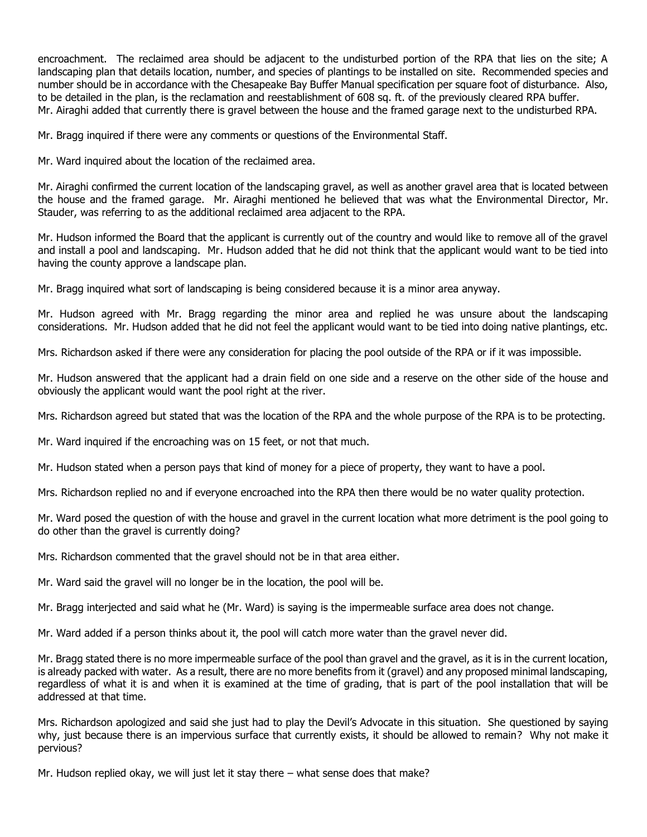encroachment. The reclaimed area should be adjacent to the undisturbed portion of the RPA that lies on the site; A landscaping plan that details location, number, and species of plantings to be installed on site. Recommended species and number should be in accordance with the Chesapeake Bay Buffer Manual specification per square foot of disturbance. Also, to be detailed in the plan, is the reclamation and reestablishment of 608 sq. ft. of the previously cleared RPA buffer. Mr. Airaghi added that currently there is gravel between the house and the framed garage next to the undisturbed RPA.

Mr. Bragg inquired if there were any comments or questions of the Environmental Staff.

Mr. Ward inquired about the location of the reclaimed area.

Mr. Airaghi confirmed the current location of the landscaping gravel, as well as another gravel area that is located between the house and the framed garage. Mr. Airaghi mentioned he believed that was what the Environmental Director, Mr. Stauder, was referring to as the additional reclaimed area adjacent to the RPA.

Mr. Hudson informed the Board that the applicant is currently out of the country and would like to remove all of the gravel and install a pool and landscaping. Mr. Hudson added that he did not think that the applicant would want to be tied into having the county approve a landscape plan.

Mr. Bragg inquired what sort of landscaping is being considered because it is a minor area anyway.

Mr. Hudson agreed with Mr. Bragg regarding the minor area and replied he was unsure about the landscaping considerations. Mr. Hudson added that he did not feel the applicant would want to be tied into doing native plantings, etc.

Mrs. Richardson asked if there were any consideration for placing the pool outside of the RPA or if it was impossible.

Mr. Hudson answered that the applicant had a drain field on one side and a reserve on the other side of the house and obviously the applicant would want the pool right at the river.

Mrs. Richardson agreed but stated that was the location of the RPA and the whole purpose of the RPA is to be protecting.

Mr. Ward inquired if the encroaching was on 15 feet, or not that much.

Mr. Hudson stated when a person pays that kind of money for a piece of property, they want to have a pool.

Mrs. Richardson replied no and if everyone encroached into the RPA then there would be no water quality protection.

Mr. Ward posed the question of with the house and gravel in the current location what more detriment is the pool going to do other than the gravel is currently doing?

Mrs. Richardson commented that the gravel should not be in that area either.

Mr. Ward said the gravel will no longer be in the location, the pool will be.

Mr. Bragg interjected and said what he (Mr. Ward) is saying is the impermeable surface area does not change.

Mr. Ward added if a person thinks about it, the pool will catch more water than the gravel never did.

Mr. Bragg stated there is no more impermeable surface of the pool than gravel and the gravel, as it is in the current location, is already packed with water. As a result, there are no more benefits from it (gravel) and any proposed minimal landscaping, regardless of what it is and when it is examined at the time of grading, that is part of the pool installation that will be addressed at that time.

Mrs. Richardson apologized and said she just had to play the Devil's Advocate in this situation. She questioned by saying why, just because there is an impervious surface that currently exists, it should be allowed to remain? Why not make it pervious?

Mr. Hudson replied okay, we will just let it stay there – what sense does that make?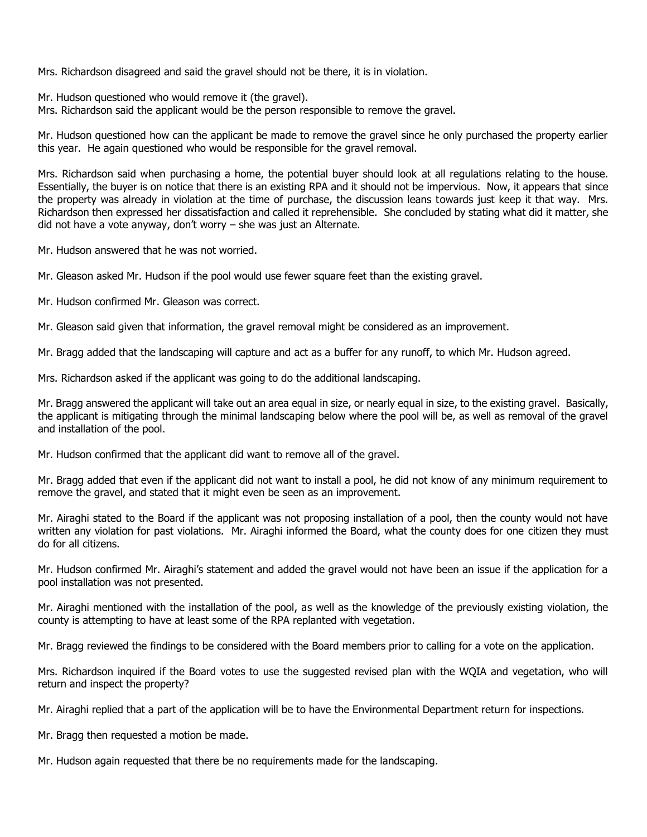Mrs. Richardson disagreed and said the gravel should not be there, it is in violation.

Mr. Hudson questioned who would remove it (the gravel).

Mrs. Richardson said the applicant would be the person responsible to remove the gravel.

Mr. Hudson questioned how can the applicant be made to remove the gravel since he only purchased the property earlier this year. He again questioned who would be responsible for the gravel removal.

Mrs. Richardson said when purchasing a home, the potential buyer should look at all regulations relating to the house. Essentially, the buyer is on notice that there is an existing RPA and it should not be impervious. Now, it appears that since the property was already in violation at the time of purchase, the discussion leans towards just keep it that way. Mrs. Richardson then expressed her dissatisfaction and called it reprehensible. She concluded by stating what did it matter, she did not have a vote anyway, don't worry – she was just an Alternate.

Mr. Hudson answered that he was not worried.

Mr. Gleason asked Mr. Hudson if the pool would use fewer square feet than the existing gravel.

Mr. Hudson confirmed Mr. Gleason was correct.

Mr. Gleason said given that information, the gravel removal might be considered as an improvement.

Mr. Bragg added that the landscaping will capture and act as a buffer for any runoff, to which Mr. Hudson agreed.

Mrs. Richardson asked if the applicant was going to do the additional landscaping.

Mr. Bragg answered the applicant will take out an area equal in size, or nearly equal in size, to the existing gravel. Basically, the applicant is mitigating through the minimal landscaping below where the pool will be, as well as removal of the gravel and installation of the pool.

Mr. Hudson confirmed that the applicant did want to remove all of the gravel.

Mr. Bragg added that even if the applicant did not want to install a pool, he did not know of any minimum requirement to remove the gravel, and stated that it might even be seen as an improvement.

Mr. Airaghi stated to the Board if the applicant was not proposing installation of a pool, then the county would not have written any violation for past violations. Mr. Airaghi informed the Board, what the county does for one citizen they must do for all citizens.

Mr. Hudson confirmed Mr. Airaghi's statement and added the gravel would not have been an issue if the application for a pool installation was not presented.

Mr. Airaghi mentioned with the installation of the pool, as well as the knowledge of the previously existing violation, the county is attempting to have at least some of the RPA replanted with vegetation.

Mr. Bragg reviewed the findings to be considered with the Board members prior to calling for a vote on the application.

Mrs. Richardson inquired if the Board votes to use the suggested revised plan with the WQIA and vegetation, who will return and inspect the property?

Mr. Airaghi replied that a part of the application will be to have the Environmental Department return for inspections.

Mr. Bragg then requested a motion be made.

Mr. Hudson again requested that there be no requirements made for the landscaping.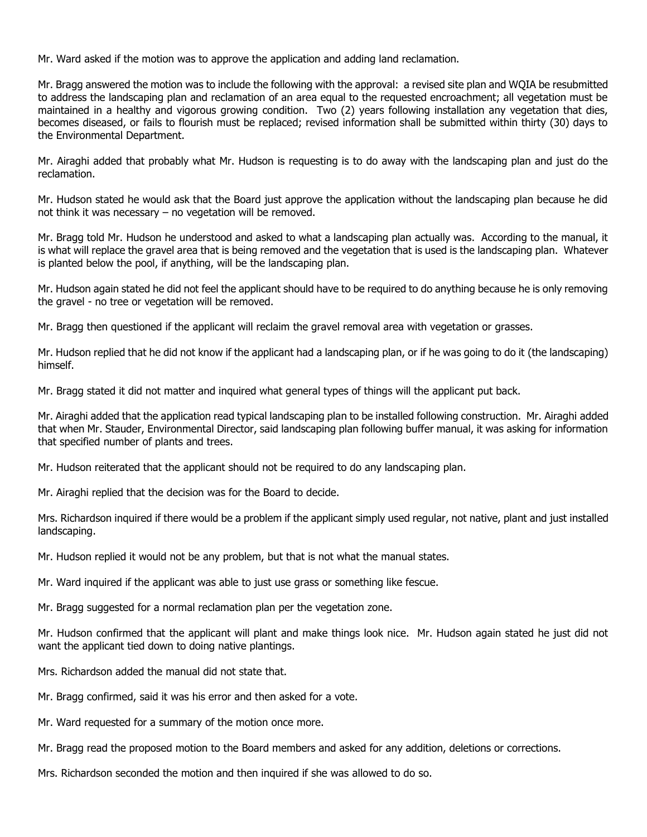Mr. Ward asked if the motion was to approve the application and adding land reclamation.

Mr. Bragg answered the motion was to include the following with the approval: a revised site plan and WQIA be resubmitted to address the landscaping plan and reclamation of an area equal to the requested encroachment; all vegetation must be maintained in a healthy and vigorous growing condition. Two (2) years following installation any vegetation that dies, becomes diseased, or fails to flourish must be replaced; revised information shall be submitted within thirty (30) days to the Environmental Department.

Mr. Airaghi added that probably what Mr. Hudson is requesting is to do away with the landscaping plan and just do the reclamation.

Mr. Hudson stated he would ask that the Board just approve the application without the landscaping plan because he did not think it was necessary – no vegetation will be removed.

Mr. Bragg told Mr. Hudson he understood and asked to what a landscaping plan actually was. According to the manual, it is what will replace the gravel area that is being removed and the vegetation that is used is the landscaping plan. Whatever is planted below the pool, if anything, will be the landscaping plan.

Mr. Hudson again stated he did not feel the applicant should have to be required to do anything because he is only removing the gravel - no tree or vegetation will be removed.

Mr. Bragg then questioned if the applicant will reclaim the gravel removal area with vegetation or grasses.

Mr. Hudson replied that he did not know if the applicant had a landscaping plan, or if he was going to do it (the landscaping) himself.

Mr. Bragg stated it did not matter and inquired what general types of things will the applicant put back.

Mr. Airaghi added that the application read typical landscaping plan to be installed following construction. Mr. Airaghi added that when Mr. Stauder, Environmental Director, said landscaping plan following buffer manual, it was asking for information that specified number of plants and trees.

Mr. Hudson reiterated that the applicant should not be required to do any landscaping plan.

Mr. Airaghi replied that the decision was for the Board to decide.

Mrs. Richardson inquired if there would be a problem if the applicant simply used regular, not native, plant and just installed landscaping.

Mr. Hudson replied it would not be any problem, but that is not what the manual states.

Mr. Ward inquired if the applicant was able to just use grass or something like fescue.

Mr. Bragg suggested for a normal reclamation plan per the vegetation zone.

Mr. Hudson confirmed that the applicant will plant and make things look nice. Mr. Hudson again stated he just did not want the applicant tied down to doing native plantings.

Mrs. Richardson added the manual did not state that.

Mr. Bragg confirmed, said it was his error and then asked for a vote.

Mr. Ward requested for a summary of the motion once more.

Mr. Bragg read the proposed motion to the Board members and asked for any addition, deletions or corrections.

Mrs. Richardson seconded the motion and then inquired if she was allowed to do so.